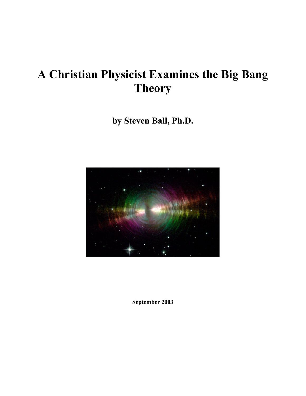# **A Christian Physicist Examines the Big Bang Theory**

**by Steven Ball, Ph.D.** 



**September 2003**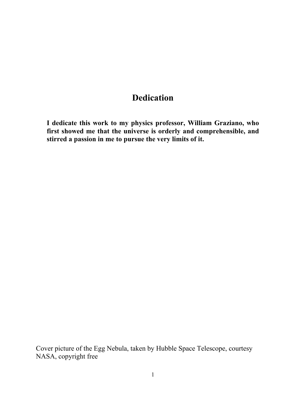### **Dedication**

**I dedicate this work to my physics professor, William Graziano, who first showed me that the universe is orderly and comprehensible, and stirred a passion in me to pursue the very limits of it.** 

Cover picture of the Egg Nebula, taken by Hubble Space Telescope, courtesy NASA, copyright free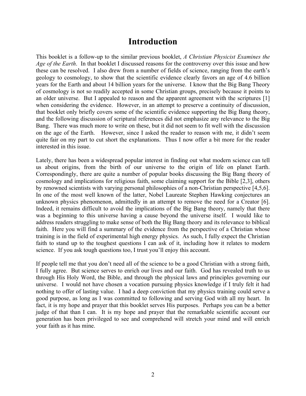### **Introduction**

This booklet is a follow-up to the similar previous booklet, *A Christian Physicist Examines the Age of the Earth*. In that booklet I discussed reasons for the controversy over this issue and how these can be resolved. I also drew from a number of fields of science, ranging from the earth's geology to cosmology, to show that the scientific evidence clearly favors an age of 4.6 billion years for the Earth and about 14 billion years for the universe. I know that the Big Bang Theory of cosmology is not so readily accepted in some Christian groups, precisely because it points to an older universe. But I appealed to reason and the apparent agreement with the scriptures [1] when considering the evidence. However, in an attempt to preserve a continuity of discussion, that booklet only briefly covers some of the scientific evidence supporting the Big Bang theory, and the following discussion of scriptural references did not emphasize any relevance to the Big Bang. There was much more to write on these, but it did not seem to fit well with the discussion on the age of the Earth. However, since I asked the reader to reason with me, it didn't seem quite fair on my part to cut short the explanations. Thus I now offer a bit more for the reader interested in this issue.

Lately, there has been a widespread popular interest in finding out what modern science can tell us about origins, from the birth of our universe to the origin of life on planet Earth. Correspondingly, there are quite a number of popular books discussing the Big Bang theory of cosmology and implications for religious faith, some claiming support for the Bible [2,3], others by renowned scientists with varying personal philosophies of a non-Christian perspective [4,5,6]. In one of the most well known of the latter, Nobel Laureate Stephen Hawking conjectures an unknown physics phenomenon, admittedly in an attempt to remove the need for a Creator [6]. Indeed, it remains difficult to avoid the implications of the Big Bang theory, namely that there was a beginning to this universe having a cause beyond the universe itself. I would like to address readers struggling to make sense of both the Big Bang theory and its relevance to biblical faith. Here you will find a summary of the evidence from the perspective of a Christian whose training is in the field of experimental high energy physics. As such, I fully expect the Christian faith to stand up to the toughest questions I can ask of it, including how it relates to modern science. If you ask tough questions too, I trust you'll enjoy this account.

If people tell me that you don't need all of the science to be a good Christian with a strong faith, I fully agree. But science serves to enrich our lives and our faith. God has revealed truth to us through His Holy Word, the Bible, and through the physical laws and principles governing our universe. I would not have chosen a vocation pursuing physics knowledge if I truly felt it had nothing to offer of lasting value. I had a deep conviction that my physics training could serve a good purpose, as long as I was committed to following and serving God with all my heart. In fact, it is my hope and prayer that this booklet serves His purposes. Perhaps you can be a better judge of that than I can. It is my hope and prayer that the remarkable scientific account our generation has been privileged to see and comprehend will stretch your mind and will enrich your faith as it has mine.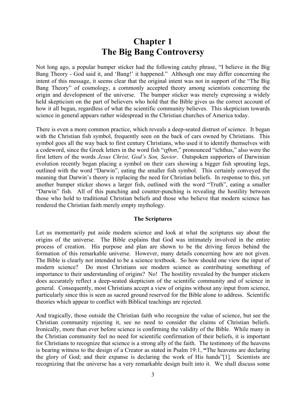### **Chapter 1 The Big Bang Controversy**

Not long ago, a popular bumper sticker had the following catchy phrase, "I believe in the Big Bang Theory - God said it, and 'Bang!' it happened." Although one may differ concerning the intent of this message, it seems clear that the original intent was not in support of the "The Big Bang Theory" of cosmology, a commonly accepted theory among scientists concerning the origin and development of the universe. The bumper sticker was merely expressing a widely held skepticism on the part of believers who hold that the Bible gives us the correct account of how it all began, regardless of what the scientific community believes. This skepticism towards science in general appears rather widespread in the Christian churches of America today.

There is even a more common practice, which reveals a deep-seated distrust of science. It began with the Christian fish symbol, frequently seen on the back of cars owned by Christians. This symbol goes all the way back to first century Christians, who used it to identify themselves with a codeword, since the Greek letters in the word fish "ιχθυσ," pronounced "ichthus," also were the first letters of the words *Jesus Christ, God's Son, Savior*. Outspoken supporters of Darwinian evolution recently began placing a symbol on their cars showing a bigger fish sprouting legs, outlined with the word "Darwin", eating the smaller fish symbol. This certainly conveyed the meaning that Darwin's theory is replacing the need for Christian beliefs. In response to this, yet another bumper sticker shows a larger fish, outlined with the word "Truth", eating a smaller "Darwin" fish. All of this punching and counter-punching is revealing the hostility between those who hold to traditional Christian beliefs and those who believe that modern science has rendered the Christian faith merely empty mythology.

#### **The Scriptures**

Let us momentarily put aside modern science and look at what the scriptures say about the origins of the universe. The Bible explains that God was intimately involved in the entire process of creation. His purpose and plan are shown to be the driving forces behind the formation of this remarkable universe. However, many details concerning how are not given. The Bible is clearly not intended to be a science textbook. So how should one view the input of modern science? Do most Christians see modern science as contributing something of importance to their understanding of origins? No! The hostility revealed by the bumper stickers does accurately reflect a deep-seated skepticism of the scientific community and of science in general. Consequently, most Christians accept a view of origins without any input from science, particularly since this is seen as sacred ground reserved for the Bible alone to address. Scientific theories which appear to conflict with Biblical teachings are rejected.

And tragically, those outside the Christian faith who recognize the value of science, but see the Christian community rejecting it, see no need to consider the claims of Christian beliefs. Ironically, more than ever before science is confirming the validity of the Bible. While many in the Christian community feel no need for scientific confirmation of their beliefs, it is important for Christians to recognize that science is a strong ally of the faith. The testimony of the heavens is bearing witness to the design of a Creator as stated in Psalm 19:1, **"**The heavens are declaring the glory of God; and their expanse is declaring the work of His hands"[1]. Scientists are recognizing that the universe has a very remarkable design built into it. We shall discuss some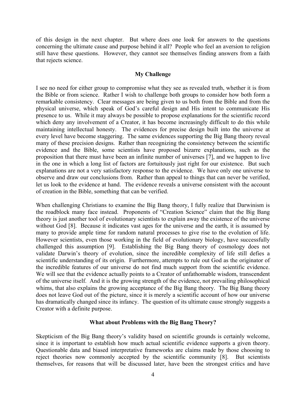of this design in the next chapter. But where does one look for answers to the questions concerning the ultimate cause and purpose behind it all? People who feel an aversion to religion still have these questions. However, they cannot see themselves finding answers from a faith that rejects science.

#### **My Challenge**

I see no need for either group to compromise what they see as revealed truth, whether it is from the Bible or from science. Rather I wish to challenge both groups to consider how both form a remarkable consistency. Clear messages are being given to us both from the Bible and from the physical universe, which speak of God's careful design and His intent to communicate His presence to us. While it may always be possible to propose explanations for the scientific record which deny any involvement of a Creator, it has become increasingly difficult to do this while maintaining intellectual honesty. The evidences for precise design built into the universe at every level have become staggering. The same evidences supporting the Big Bang theory reveal many of these precision designs. Rather than recognizing the consistency between the scientific evidence and the Bible, some scientists have proposed bizarre explanations, such as the proposition that there must have been an infinite number of universes [7], and we happen to live in the one in which a long list of factors are fortuitously just right for our existence. But such explanations are not a very satisfactory response to the evidence. We have only one universe to observe and draw our conclusions from. Rather than appeal to things that can never be verified, let us look to the evidence at hand. The evidence reveals a universe consistent with the account of creation in the Bible, something that can be verified.

When challenging Christians to examine the Big Bang theory, I fully realize that Darwinism is the roadblock many face instead. Proponents of "Creation Science" claim that the Big Bang theory is just another tool of evolutionary scientists to explain away the existence of the universe without God [8]. Because it indicates vast ages for the universe and the earth, it is assumed by many to provide ample time for random natural processes to give rise to the evolution of life. However scientists, even those working in the field of evolutionary biology, have successfully challenged this assumption [9]. Establishing the Big Bang theory of cosmology does not validate Darwin's theory of evolution, since the incredible complexity of life still defies a scientific understanding of its origin. Furthermore, attempts to rule out God as the originator of the incredible features of our universe do not find much support from the scientific evidence. We will see that the evidence actually points to a Creator of unfathomable wisdom, transcendent of the universe itself. And it is the growing strength of the evidence, not prevailing philosophical whims, that also explains the growing acceptance of the Big Bang theory. The Big Bang theory does not leave God out of the picture, since it is merely a scientific account of how our universe has dramatically changed since its infancy. The question of its ultimate cause strongly suggests a Creator with a definite purpose.

#### **What about Problems with the Big Bang Theory?**

Skepticism of the Big Bang theory's validity based on scientific grounds is certainly welcome, since it is important to establish how much actual scientific evidence supports a given theory. Questionable data and biased interpretative frameworks are claims made by those choosing to reject theories now commonly accepted by the scientific community [8]. But scientists themselves, for reasons that will be discussed later, have been the strongest critics and have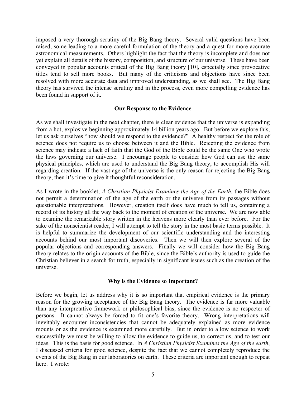imposed a very thorough scrutiny of the Big Bang theory. Several valid questions have been raised, some leading to a more careful formulation of the theory and a quest for more accurate astronomical measurements. Others highlight the fact that the theory is incomplete and does not yet explain all details of the history, composition, and structure of our universe. These have been conveyed in popular accounts critical of the Big Bang theory [10], especially since provocative titles tend to sell more books. But many of the criticisms and objections have since been resolved with more accurate data and improved understanding, as we shall see. The Big Bang theory has survived the intense scrutiny and in the process, even more compelling evidence has been found in support of it.

#### **Our Response to the Evidence**

As we shall investigate in the next chapter, there is clear evidence that the universe is expanding from a hot, explosive beginning approximately 14 billion years ago. But before we explore this, let us ask ourselves "how should we respond to the evidence?" A healthy respect for the role of science does not require us to choose between it and the Bible. Rejecting the evidence from science may indicate a lack of faith that the God of the Bible could be the same One who wrote the laws governing our universe. I encourage people to consider how God can use the same physical principles, which are used to understand the Big Bang theory, to accomplish His will regarding creation. If the vast age of the universe is the only reason for rejecting the Big Bang theory, then it's time to give it thoughtful reconsideration.

As I wrote in the booklet, *A Christian Physicist Examines the Age of the Earth*, the Bible does not permit a determination of the age of the earth or the universe from its passages without questionable interpretations. However, creation itself does have much to tell us, containing a record of its history all the way back to the moment of creation of the universe. We are now able to examine the remarkable story written in the heavens more clearly than ever before. For the sake of the nonscientist reader, I will attempt to tell the story in the most basic terms possible. It is helpful to summarize the development of our scientific understanding and the interesting accounts behind our most important discoveries. Then we will then explore several of the popular objections and corresponding answers. Finally we will consider how the Big Bang theory relates to the origin accounts of the Bible, since the Bible's authority is used to guide the Christian believer in a search for truth, especially in significant issues such as the creation of the universe.

#### **Why is the Evidence so Important?**

Before we begin, let us address why it is so important that empirical evidence is the primary reason for the growing acceptance of the Big Bang theory. The evidence is far more valuable than any interpretative framework or philosophical bias, since the evidence is no respecter of persons. It cannot always be forced to fit one's favorite theory. Wrong interpretations will inevitably encounter inconsistencies that cannot be adequately explained as more evidence mounts or as the evidence is examined more carefully. But in order to allow science to work successfully we must be willing to allow the evidence to guide us, to correct us, and to test our ideas. This is the basis for good science. In *A Christian Physicist Examines the Age of the earth*, I discussed criteria for good science, despite the fact that we cannot completely reproduce the events of the Big Bang in our laboratories on earth. These criteria are important enough to repeat here. I wrote: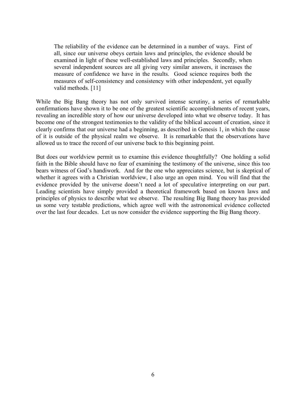The reliability of the evidence can be determined in a number of ways. First of all, since our universe obeys certain laws and principles, the evidence should be examined in light of these well-established laws and principles. Secondly, when several independent sources are all giving very similar answers, it increases the measure of confidence we have in the results. Good science requires both the measures of self-consistency and consistency with other independent, yet equally valid methods. [11]

While the Big Bang theory has not only survived intense scrutiny, a series of remarkable confirmations have shown it to be one of the greatest scientific accomplishments of recent years, revealing an incredible story of how our universe developed into what we observe today. It has become one of the strongest testimonies to the validity of the biblical account of creation, since it clearly confirms that our universe had a beginning, as described in Genesis 1, in which the cause of it is outside of the physical realm we observe. It is remarkable that the observations have allowed us to trace the record of our universe back to this beginning point.

But does our worldview permit us to examine this evidence thoughtfully? One holding a solid faith in the Bible should have no fear of examining the testimony of the universe, since this too bears witness of God's handiwork. And for the one who appreciates science, but is skeptical of whether it agrees with a Christian worldview, I also urge an open mind. You will find that the evidence provided by the universe doesn't need a lot of speculative interpreting on our part. Leading scientists have simply provided a theoretical framework based on known laws and principles of physics to describe what we observe. The resulting Big Bang theory has provided us some very testable predictions, which agree well with the astronomical evidence collected over the last four decades. Let us now consider the evidence supporting the Big Bang theory.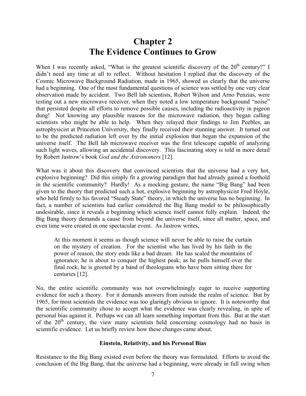## **Chapter 2 The Evidence Continues to Grow**

When I was recently asked, "What is the greatest scientific discovery of the 20<sup>th</sup> century?" I didn't need any time at all to reflect. Without hesitation I replied that the discovery of the Cosmic Microwave Background Radiation, made in 1965, showed us clearly that the universe had a beginning. One of the most fundamental questions of science was settled by one very clear observation made by accident. Two Bell lab scientists, Robert Wilson and Arno Penzias, were testing out a new microwave receiver, when they noted a low temperature background "noise" that persisted despite all efforts to remove possible causes, including the radioactivity in pigeon dung! Not knowing any plausible reasons for the microwave radiation, they began calling scientists who might be able to help. When they relayed their findings to Jim Peebles, an astrophysicist at Princeton University, they finally received their stunning answer. It turned out to be the predicted radiation left over by the initial explosion that began the expansion of the universe itself. The Bell lab microwave receiver was the first telescope capable of analyzing such light waves, allowing an accidental discovery. This fascinating story is told in more detail by Robert Jastrow's book *God and the Astronomers* [12].

What was it about this discovery that convinced scientists that the universe had a very hot, explosive beginning? Did this simply fit a growing paradigm that had already gained a foothold in the scientific community? Hardly! As a mocking gesture, the name "Big Bang" had been given to the theory that predicted such a hot, explosive beginning by astrophysicist Fred Hoyle, who held firmly to his favored "Steady State" theory, in which the universe has no beginning. In fact, a number of scientists had earlier considered the Big Bang model to be philosophically undesirable, since it reveals a beginning which science itself cannot fully explain. Indeed, the Big Bang theory demands a cause from beyond the universe itself, since all matter, space, and even time were created in one spectacular event. As Jastrow writes,

At this moment it seems as though science will never be able to raise the curtain on the mystery of creation. For the scientist who has lived by his faith in the power of reason, the story ends like a bad dream. He has scaled the mountains of ignorance; he is about to conquer the highest peak; as he pulls himself over the final rock, he is greeted by a band of theologians who have been sitting there for centuries [12].

No, the entire scientific community was not overwhelmingly eager to receive supporting evidence for such a theory. For it demands answers from outside the realm of science. But by 1965, for most scientists the evidence was too glaringly obvious to ignore. It is noteworthy that the scientific community chose to accept what the evidence was clearly revealing, in spite of personal bias against it. Perhaps we can all learn something important from this. But at the start of the  $20<sup>th</sup>$  century, the view many scientists held concerning cosmology had no basis in scientific evidence. Let us briefly review how these changes came about.

#### **Einstein, Relativity, and his Personal Bias**

Resistance to the Big Bang existed even before the theory was formulated. Efforts to avoid the conclusion of the Big Bang, that the universe had a beginning, were already in full swing when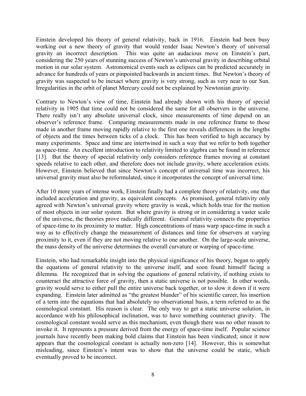Einstein developed his theory of general relativity, back in 1916. Einstein had been busy working out a new theory of gravity that would render Isaac Newton's theory of universal gravity an incorrect description. This was quite an audacious move on Einstein's part, considering the 250 years of stunning success of Newton's universal gravity in describing orbital motion in our solar system. Astronomical events such as eclipses can be predicted accurately in advance for hundreds of years or pinpointed backwards in ancient times. But Newton's theory of gravity was suspected to be inexact where gravity is very strong, such as very near to our Sun. Irregularities in the orbit of planet Mercury could not be explained by Newtonian gravity.

Contrary to Newton's view of time, Einstein had already shown with his theory of special relativity in 1905 that time could not be considered the same for all observers in the universe. There really isn't any absolute universal clock, since measurements of time depend on an observer's reference frame. Comparing measurements made in one reference frame to those made in another frame moving rapidly relative to the first one reveals differences in the lengths of objects and the times between ticks of a clock. This has been verified to high accuracy by many experiments. Space and time are intertwined in such a way that we refer to both together as space-time. An excellent introduction to relativity limited to algebra can be found in reference [13]. But the theory of special relativity only considers reference frames moving at constant speeds relative to each other, and therefore does not include gravity, where acceleration exists. However, Einstein believed that since Newton's concept of universal time was incorrect, his universal gravity must also be reformulated, since it incorporates the concept of universal time.

After 10 more years of intense work, Einstein finally had a complete theory of relativity, one that included acceleration and gravity, as equivalent concepts. As promised, general relativity only agreed with Newton's universal gravity where gravity is weak, which holds true for the motion of most objects in our solar system. But where gravity is strong or in considering a vaster scale of the universe, the theories prove radically different. General relativity connects the properties of space-time to its proximity to matter. High concentrations of mass warp space-time in such a way as to effectively change the measurement of distances and time for observers at varying proximity to it, even if they are not moving relative to one another. On the large-scale universe, the mass density of the universe determines the overall curvature or warping of space-time.

Einstein, who had remarkable insight into the physical significance of his theory, began to apply the equations of general relativity to the universe itself, and soon found himself facing a dilemma. He recognized that in solving the equations of general relativity, if nothing exists to counteract the attractive force of gravity, then a static universe is not possible. In other words, gravity would serve to either pull the entire universe back together, or to slow it down if it were expanding. Einstein later admitted as "the greatest blunder" of his scientific career, his insertion of a term into the equations that had absolutely no observational basis, a term referred to as the cosmological constant. His reason is clear. The only way to get a static universe solution, in accordance with his philosophical inclination, was to have something counteract gravity. The cosmological constant would serve as this mechanism, even though there was no other reason to invoke it. It represents a pressure derived from the energy of space-time itself. Popular science journals have recently been making bold claims that Einstein has been vindicated; since it now appears that the cosmological constant is actually non-zero [14]. However, this is somewhat misleading, since Einstein's intent was to show that the universe could be static, which eventually proved to be incorrect.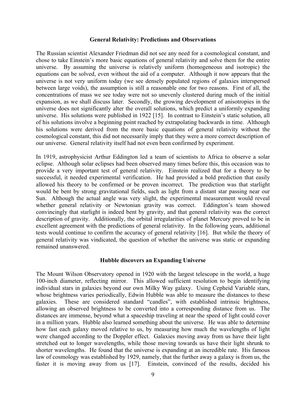#### **General Relativity: Predictions and Observations**

The Russian scientist Alexander Friedman did not see any need for a cosmological constant, and chose to take Einstein's more basic equations of general relativity and solve them for the entire universe. By assuming the universe is relatively uniform (homogeneous and isotropic) the equations can be solved, even without the aid of a computer. Although it now appears that the universe is not very uniform today (we see densely populated regions of galaxies interspersed between large voids), the assumption is still a reasonable one for two reasons. First of all, the concentrations of mass we see today were not so unevenly clustered during much of the initial expansion, as we shall discuss later. Secondly, the growing development of anisotropies in the universe does not significantly alter the overall solutions, which predict a uniformly expanding universe. His solutions were published in 1922 [15]. In contrast to Einstein's static solution, all of his solutions involve a beginning point reached by extrapolating backwards in time. Although his solutions were derived from the more basic equations of general relativity without the cosmological constant, this did not necessarily imply that they were a more correct description of our universe. General relativity itself had not even been confirmed by experiment.

In 1919, astrophysicist Arthur Eddington led a team of scientists to Africa to observe a solar eclipse. Although solar eclipses had been observed many times before this, this occasion was to provide a very important test of general relativity. Einstein realized that for a theory to be successful, it needed experimental verification. He had provided a bold prediction that easily allowed his theory to be confirmed or be proven incorrect. The prediction was that starlight would be bent by strong gravitational fields, such as light from a distant star passing near our Sun. Although the actual angle was very slight, the experimental measurement would reveal whether general relativity or Newtonian gravity was correct. Eddington's team showed convincingly that starlight is indeed bent by gravity, and that general relativity was the correct description of gravity. Additionally, the orbital irregularities of planet Mercury proved to be in excellent agreement with the predictions of general relativity. In the following years, additional tests would continue to confirm the accuracy of general relativity [16]. But while the theory of general relativity was vindicated, the question of whether the universe was static or expanding remained unanswered.

#### **Hubble discovers an Expanding Universe**

The Mount Wilson Observatory opened in 1920 with the largest telescope in the world, a huge 100-inch diameter, reflecting mirror. This allowed sufficient resolution to begin identifying individual stars in galaxies beyond our own Milky Way galaxy. Using Cepheid Variable stars, whose brightness varies periodically, Edwin Hubble was able to measure the distances to these galaxies. These are considered standard "candles", with established intrinsic brightness, allowing an observed brightness to be converted into a corresponding distance from us. The distances are immense, beyond what a spaceship traveling at near the speed of light could cover in a million years. Hubble also learned something about the universe. He was able to determine how fast each galaxy moved relative to us, by measuring how much the wavelengths of light were changed according to the Doppler effect. Galaxies moving away from us have their light stretched out to longer wavelengths, while those moving towards us have their light shrunk to shorter wavelengths. He found that the universe is expanding at an incredible rate. His famous law of cosmology was established by 1929, namely, that the further away a galaxy is from us, the faster it is moving away from us [17]. Einstein, convinced of the results, decided his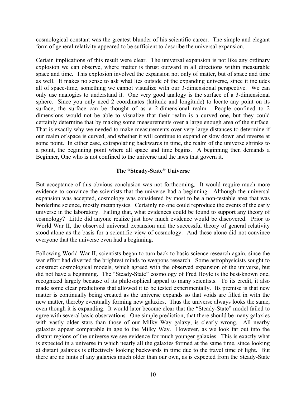cosmological constant was the greatest blunder of his scientific career. The simple and elegant form of general relativity appeared to be sufficient to describe the universal expansion.

Certain implications of this result were clear. The universal expansion is not like any ordinary explosion we can observe, where matter is thrust outward in all directions within measurable space and time. This explosion involved the expansion not only of matter, but of space and time as well. It makes no sense to ask what lies outside of the expanding universe, since it includes all of space-time, something we cannot visualize with our 3-dimensional perspective. We can only use analogies to understand it. One very good analogy is the surface of a 3-dimensional sphere. Since you only need 2 coordinates (latitude and longitude) to locate any point on its surface, the surface can be thought of as a 2-dimensional realm. People confined to 2 dimensions would not be able to visualize that their realm is a curved one, but they could certainly determine that by making some measurements over a large enough area of the surface. That is exactly why we needed to make measurements over very large distances to determine if our realm of space is curved, and whether it will continue to expand or slow down and reverse at some point. In either case, extrapolating backwards in time, the realm of the universe shrinks to a point, the beginning point where all space and time begins. A beginning then demands a Beginner, One who is not confined to the universe and the laws that govern it.

#### **The "Steady-State" Universe**

But acceptance of this obvious conclusion was not forthcoming. It would require much more evidence to convince the scientists that the universe had a beginning. Although the universal expansion was accepted, cosmology was considered by most to be a non-testable area that was borderline science, mostly metaphysics. Certainly no one could reproduce the events of the early universe in the laboratory. Failing that, what evidences could be found to support any theory of cosmology? Little did anyone realize just how much evidence would be discovered. Prior to World War II, the observed universal expansion and the successful theory of general relativity stood alone as the basis for a scientific view of cosmology. And these alone did not convince everyone that the universe even had a beginning.

Following World War II, scientists began to turn back to basic science research again, since the war effort had diverted the brightest minds to weapons research. Some astrophysicists sought to construct cosmological models, which agreed with the observed expansion of the universe, but did not have a beginning. The "Steady-State" cosmology of Fred Hoyle is the best-known one, recognized largely because of its philosophical appeal to many scientists. To its credit, it also made some clear predictions that allowed it to be tested experimentally. Its premise is that new matter is continually being created as the universe expands so that voids are filled in with the new matter, thereby eventually forming new galaxies. Thus the universe always looks the same, even though it is expanding. It would later become clear that the "Steady-State" model failed to agree with several basic observations. One simple prediction, that there should be many galaxies with vastly older stars than those of our Milky Way galaxy, is clearly wrong. All nearby galaxies appear comparable in age to the Milky Way. However, as we look far out into the distant regions of the universe we see evidence for much younger galaxies. This is exactly what is expected in a universe in which nearly all the galaxies formed at the same time, since looking at distant galaxies is effectively looking backwards in time due to the travel time of light. But there are no hints of any galaxies much older than our own, as is expected from the Steady-State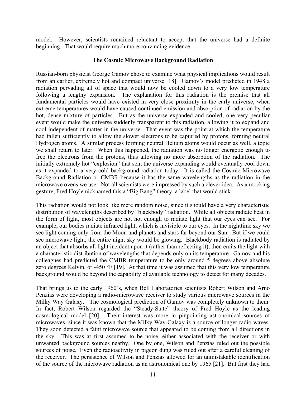model. However, scientists remained reluctant to accept that the universe had a definite beginning. That would require much more convincing evidence.

#### **The Cosmic Microwave Background Radiation**

Russian-born physicist George Gamov chose to examine what physical implications would result from an earlier, extremely hot and compact universe [18]. Gamov's model predicted in 1948 a radiation pervading all of space that would now be cooled down to a very low temperature following a lengthy expansion. The explanation for this radiation is the premise that all fundamental particles would have existed in very close proximity in the early universe, when extreme temperatures would have caused continued emission and absorption of radiation by the hot, dense mixture of particles. But as the universe expanded and cooled, one very peculiar event would make the universe suddenly transparent to this radiation, allowing it to expand and cool independent of matter in the universe. That event was the point at which the temperature had fallen sufficiently to allow the slower electrons to be captured by protons, forming neutral Hydrogen atoms. A similar process forming neutral Helium atoms would occur as well, a topic we shall return to later. When this happened, the radiation was no longer energetic enough to free the electrons from the protons, thus allowing no more absorption of the radiation. The initially extremely hot "explosion" that sent the universe expanding would eventually cool down as it expanded to a very cold background radiation today. It is called the Cosmic Microwave Background Radiation or CMBR because it has the same wavelengths as the radiation in the microwave ovens we use. Not all scientists were impressed by such a clever idea. As a mocking gesture, Fred Hoyle nicknamed this a "Big Bang" theory, a label that would stick.

This radiation would not look like mere random noise, since it should have a very characteristic distribution of wavelengths described by "blackbody" radiation. While all objects radiate heat in the form of light, most objects are not hot enough to radiate light that our eyes can see. For example, our bodies radiate infrared light, which is invisible to our eyes. In the nighttime sky we see light coming only from the Moon and planets and stars far beyond our Sun. But if we could see microwave light, the entire night sky would be glowing. Blackbody radiation is radiated by an object that absorbs all light incident upon it (rather than reflecting it), then emits the light with a characteristic distribution of wavelengths that depends only on its temperature. Gamov and his colleagues had predicted the CMBR temperature to be only around 5 degrees above absolute zero degrees Kelvin, or -450 °F [19]. At that time it was assumed that this very low temperature background would be beyond the capability of available technology to detect for many decades.

That brings us to the early 1960's, when Bell Laboratories scientists Robert Wilson and Arno Penzias were developing a radio-microwave receiver to study various microwave sources in the Milky Way Galaxy. The cosmological prediction of Gamov was completely unknown to them. In fact, Robert Wilson regarded the "Steady-State" theory of Fred Hoyle as the leading cosmological model [20]. Their interest was more in pinpointing astronomical sources of microwaves, since it was known that the Milky Way Galaxy is a source of longer radio waves. They soon detected a faint microwave source that appeared to be coming from all directions in the sky. This was at first assumed to be noise, either associated with the receiver or with unwanted background sources nearby. One by one, Wilson and Penzias ruled out the possible sources of noise. Even the radioactivity in pigeon dung was ruled out after a careful cleaning of the receiver. The persistence of Wilson and Penzias allowed for an unmistakable identification of the source of the microwave radiation as an astronomical one by 1965 [21]. But first they had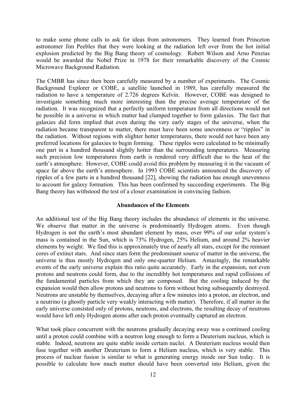to make some phone calls to ask for ideas from astronomers. They learned from Princeton astronomer Jim Peebles that they were looking at the radiation left over from the hot initial explosion predicted by the Big Bang theory of cosmology. Robert Wilson and Arno Penzias would be awarded the Nobel Prize in 1978 for their remarkable discovery of the Cosmic Microwave Background Radiation.

The CMBR has since then been carefully measured by a number of experiments. The Cosmic Background Explorer or COBE, a satellite launched in 1989, has carefully measured the radiation to have a temperature of 2.726 degrees Kelvin. However, COBE was designed to investigate something much more interesting than the precise average temperature of the radiation. It was recognized that a perfectly uniform temperature from all directions would not be possible in a universe in which matter had clumped together to form galaxies. The fact that galaxies did form implied that even during the very early stages of the universe, when the radiation became transparent to matter, there must have been some unevenness or "ripples" in the radiation. Without regions with slighter hotter temperatures, there would not have been any preferred locations for galaxies to begin forming. These ripples were calculated to be minimally one part in a hundred thousand slightly hotter than the surrounding temperatures. Measuring such precision low temperatures from earth is rendered very difficult due to the heat of the earth's atmosphere. However, COBE could avoid this problem by measuring it in the vacuum of space far above the earth's atmosphere. In 1993 COBE scientists announced the discovery of ripples of a few parts in a hundred thousand [22], showing the radiation has enough unevenness to account for galaxy formation. This has been confirmed by succeeding experiments. The Big Bang theory has withstood the test of a closer examination in convincing fashion.

#### **Abundances of the Elements**

An additional test of the Big Bang theory includes the abundance of elements in the universe. We observe that matter in the universe is predominantly Hydrogen atoms. Even though Hydrogen is not the earth's most abundant element by mass, over 99% of our solar system's mass is contained in the Sun, which is 73% Hydrogen, 25% Helium, and around 2% heavier elements by weight. We find this is approximately true of nearly all stars, except for the remnant cores of extinct stars. And since stars form the predominant source of matter in the universe, the universe is thus mostly Hydrogen and only one-quarter Helium. Amazingly, the remarkable events of the early universe explain this ratio quite accurately. Early in the expansion, not even protons and neutrons could form, due to the incredibly hot temperatures and rapid collisions of the fundamental particles from which they are composed. But the cooling induced by the expansion would then allow protons and neutrons to form without being subsequently destroyed. Neutrons are unstable by themselves, decaying after a few minutes into a proton, an electron, and a neutrino (a ghostly particle very weakly interacting with matter). Therefore, if all matter in the early universe consisted only of protons, neutrons, and electrons, the resulting decay of neutrons would have left only Hydrogen atoms after each proton eventually captured an electron.

What took place concurrent with the neutrons gradually decaying away was a continued cooling until a proton could combine with a neutron long enough to form a Deuterium nucleus, which is stable. Indeed, neutrons are quite stable inside certain nuclei. A Deuterium nucleus would then fuse together with another Deuterium to form a Helium nucleus, which is very stable. This process of nuclear fusion is similar to what is generating energy inside our Sun today. It is possible to calculate how much matter should have been converted into Helium, given the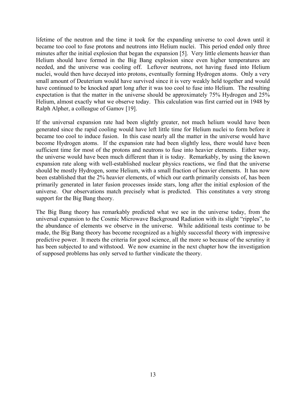lifetime of the neutron and the time it took for the expanding universe to cool down until it became too cool to fuse protons and neutrons into Helium nuclei. This period ended only three minutes after the initial explosion that began the expansion [5]. Very little elements heavier than Helium should have formed in the Big Bang explosion since even higher temperatures are needed, and the universe was cooling off. Leftover neutrons, not having fused into Helium nuclei, would then have decayed into protons, eventually forming Hydrogen atoms. Only a very small amount of Deuterium would have survived since it is very weakly held together and would have continued to be knocked apart long after it was too cool to fuse into Helium. The resulting expectation is that the matter in the universe should be approximately 75% Hydrogen and 25% Helium, almost exactly what we observe today. This calculation was first carried out in 1948 by Ralph Alpher, a colleague of Gamov [19].

If the universal expansion rate had been slightly greater, not much helium would have been generated since the rapid cooling would have left little time for Helium nuclei to form before it became too cool to induce fusion. In this case nearly all the matter in the universe would have become Hydrogen atoms. If the expansion rate had been slightly less, there would have been sufficient time for most of the protons and neutrons to fuse into heavier elements. Either way, the universe would have been much different than it is today. Remarkably, by using the known expansion rate along with well-established nuclear physics reactions, we find that the universe should be mostly Hydrogen, some Helium, with a small fraction of heavier elements. It has now been established that the 2% heavier elements, of which our earth primarily consists of, has been primarily generated in later fusion processes inside stars, long after the initial explosion of the universe. Our observations match precisely what is predicted. This constitutes a very strong support for the Big Bang theory.

The Big Bang theory has remarkably predicted what we see in the universe today, from the universal expansion to the Cosmic Microwave Background Radiation with its slight "ripples", to the abundance of elements we observe in the universe. While additional tests continue to be made, the Big Bang theory has become recognized as a highly successful theory with impressive predictive power. It meets the criteria for good science, all the more so because of the scrutiny it has been subjected to and withstood. We now examine in the next chapter how the investigation of supposed problems has only served to further vindicate the theory.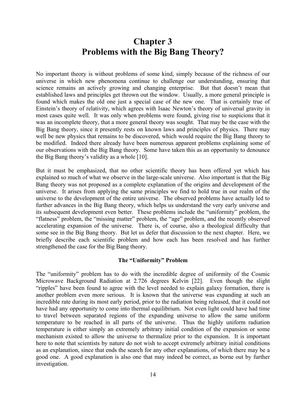## **Chapter 3 Problems with the Big Bang Theory?**

No important theory is without problems of some kind, simply because of the richness of our universe in which new phenomena continue to challenge our understanding, ensuring that science remains an actively growing and changing enterprise. But that doesn't mean that established laws and principles get thrown out the window. Usually, a more general principle is found which makes the old one just a special case of the new one. That is certainly true of Einstein's theory of relativity, which agrees with Isaac Newton's theory of universal gravity in most cases quite well. It was only when problems were found, giving rise to suspicions that it was an incomplete theory, that a more general theory was sought. That may be the case with the Big Bang theory, since it presently rests on known laws and principles of physics. There may well be new physics that remains to be discovered, which would require the Big Bang theory to be modified. Indeed there already have been numerous apparent problems explaining some of our observations with the Big Bang theory. Some have taken this as an opportunity to denounce the Big Bang theory's validity as a whole [10].

But it must be emphasized, that no other scientific theory has been offered yet which has explained so much of what we observe in the large-scale universe. Also important is that the Big Bang theory was not proposed as a complete explanation of the origins and development of the universe. It arises from applying the same principles we find to hold true in our realm of the universe to the development of the entire universe. The observed problems have actually led to further advances in the Big Bang theory, which helps us understand the very early universe and its subsequent development even better. These problems include the "uniformity" problem, the "flatness" problem, the "missing matter" problem, the "age" problem, and the recently observed accelerating expansion of the universe. There is, of course, also a theological difficulty that some see in the Big Bang theory. But let us defer that discussion to the next chapter. Here, we briefly describe each scientific problem and how each has been resolved and has further strengthened the case for the Big Bang theory.

#### **The "Uniformity" Problem**

The "uniformity" problem has to do with the incredible degree of uniformity of the Cosmic Microwave Background Radiation at 2.726 degrees Kelvin [22]. Even though the slight "ripples" have been found to agree with the level needed to explain galaxy formation, there is another problem even more serious. It is known that the universe was expanding at such an incredible rate during its most early period, prior to the radiation being released, that it could not have had any opportunity to come into thermal equilibrium. Not even light could have had time to travel between separated regions of the expanding universe to allow the same uniform temperature to be reached in all parts of the universe. Thus the highly uniform radiation temperature is either simply an extremely arbitrary initial condition of the expansion or some mechanism existed to allow the universe to thermalize prior to the expansion. It is important here to note that scientists by nature do not wish to accept extremely arbitrary initial conditions as an explanation, since that ends the search for any other explanations, of which there may be a good one. A good explanation is also one that may indeed be correct, as borne out by further investigation.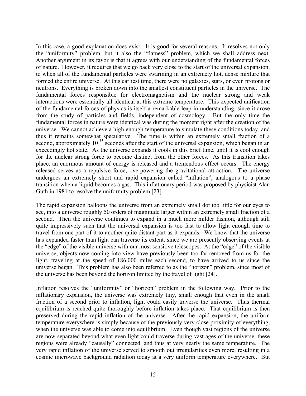In this case, a good explanation does exist. It is good for several reasons. It resolves not only the "uniformity" problem, but it also the "flatness" problem, which we shall address next. Another argument in its favor is that it agrees with our understanding of the fundamental forces of nature. However, it requires that we go back very close to the start of the universal expansion, to when all of the fundamental particles were swarming in an extremely hot, dense mixture that formed the entire universe. At this earliest time, there were no galaxies, stars, or even protons or neutrons. Everything is broken down into the smallest constituent particles in the universe. The fundamental forces responsible for electromagnetism and the nuclear strong and weak interactions were essentially all identical at this extreme temperature. This expected unification of the fundamental forces of physics is itself a remarkable leap in understanding, since it arose from the study of particles and fields, independent of cosmology. But the only time the fundamental forces in nature were identical was during the moment right after the creation of the universe. We cannot achieve a high enough temperature to simulate these conditions today, and thus it remains somewhat speculative. The time is within an extremely small fraction of a second, approximately  $10^{-35}$  seconds after the start of the universal expansion, which began in an exceedingly hot state. As the universe expands it cools in this brief time, until it is cool enough for the nuclear strong force to become distinct from the other forces. As this transition takes place, an enormous amount of energy is released and a tremendous effect occurs. The energy released serves as a repulsive force, overpowering the gravitational attraction. The universe undergoes an extremely short and rapid expansion called "inflation", analogous to a phase transition when a liquid becomes a gas. This inflationary period was proposed by physicist Alan Guth in 1981 to resolve the uniformity problem [23].

The rapid expansion balloons the universe from an extremely small dot too little for our eyes to see, into a universe roughly 50 orders of magnitude larger within an extremely small fraction of a second. Then the universe continues to expand in a much more milder fashion, although still quite impressively such that the universal expansion is too fast to allow light enough time to travel from one part of it to another quite distant part as it expands. We know that the universe has expanded faster than light can traverse its extent, since we are presently observing events at the "edge" of the visible universe with our most sensitive telescopes. At the "edge" of the visible universe, objects now coming into view have previously been too far removed from us for the light, traveling at the speed of 186,000 miles each second, to have arrived to us since the universe began. This problem has also been referred to as the "horizon" problem, since most of the universe has been beyond the horizon limited by the travel of light [24].

Inflation resolves the "uniformity" or "horizon" problem in the following way. Prior to the inflationary expansion, the universe was extremely tiny, small enough that even in the small fraction of a second prior to inflation, light could easily traverse the universe. Thus thermal equilibrium is reached quite thoroughly before inflation takes place. That equilibrium is then preserved during the rapid inflation of the universe. After the rapid expansion, the uniform temperature everywhere is simply because of the previously very close proximity of everything, when the universe was able to come into equilibrium. Even though vast regions of the universe are now separated beyond what even light could traverse during vast ages of the universe, these regions were already "causally" connected, and thus at very nearly the same temperature. The very rapid inflation of the universe served to smooth out irregularities even more, resulting in a cosmic microwave background radiation today at a very uniform temperature everywhere. But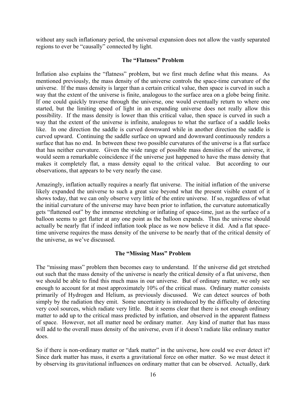without any such inflationary period, the universal expansion does not allow the vastly separated regions to ever be "causally" connected by light.

#### **The "Flatness" Problem**

Inflation also explains the "flatness" problem, but we first much define what this means. As mentioned previously, the mass density of the universe controls the space-time curvature of the universe. If the mass density is larger than a certain critical value, then space is curved in such a way that the extent of the universe is finite, analogous to the surface area on a globe being finite. If one could quickly traverse through the universe, one would eventually return to where one started, but the limiting speed of light in an expanding universe does not really allow this possibility. If the mass density is lower than this critical value, then space is curved in such a way that the extent of the universe is infinite, analogous to what the surface of a saddle looks like. In one direction the saddle is curved downward while in another direction the saddle is curved upward. Continuing the saddle surface on upward and downward continuously renders a surface that has no end. In between these two possible curvatures of the universe is a flat surface that has neither curvature. Given the wide range of possible mass densities of the universe, it would seem a remarkable coincidence if the universe just happened to have the mass density that makes it completely flat, a mass density equal to the critical value. But according to our observations, that appears to be very nearly the case.

Amazingly, inflation actually requires a nearly flat universe. The initial inflation of the universe likely expanded the universe to such a great size beyond what the present visible extent of it shows today, that we can only observe very little of the entire universe. If so, regardless of what the initial curvature of the universe may have been prior to inflation, the curvature automatically gets "flattened out" by the immense stretching or inflating of space-time, just as the surface of a balloon seems to get flatter at any one point as the balloon expands. Thus the universe should actually be nearly flat if indeed inflation took place as we now believe it did. And a flat spacetime universe requires the mass density of the universe to be nearly that of the critical density of the universe, as we've discussed.

#### **The "Missing Mass" Problem**

The "missing mass" problem then becomes easy to understand. If the universe did get stretched out such that the mass density of the universe is nearly the critical density of a flat universe, then we should be able to find this much mass in our universe. But of ordinary matter, we only see enough to account for at most approximately 10% of the critical mass. Ordinary matter consists primarily of Hydrogen and Helium, as previously discussed. We can detect sources of both simply by the radiation they emit. Some uncertainty is introduced by the difficulty of detecting very cool sources, which radiate very little. But it seems clear that there is not enough ordinary matter to add up to the critical mass predicted by inflation, and observed in the apparent flatness of space. However, not all matter need be ordinary matter. Any kind of matter that has mass will add to the overall mass density of the universe, even if it doesn't radiate like ordinary matter does.

So if there is non-ordinary matter or "dark matter" in the universe, how could we ever detect it? Since dark matter has mass, it exerts a gravitational force on other matter. So we must detect it by observing its gravitational influences on ordinary matter that can be observed. Actually, dark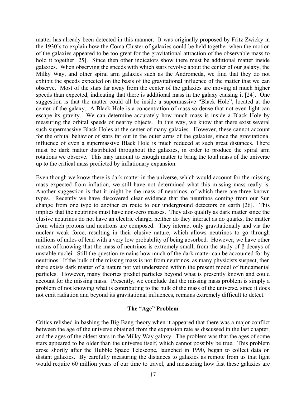matter has already been detected in this manner. It was originally proposed by Fritz Zwicky in the 1930's to explain how the Coma Cluster of galaxies could be held together when the motion of the galaxies appeared to be too great for the gravitational attraction of the observable mass to hold it together [25]. Since then other indicators show there must be additional matter inside galaxies. When observing the speeds with which stars revolve about the center of our galaxy, the Milky Way, and other spiral arm galaxies such as the Andromeda, we find that they do not exhibit the speeds expected on the basis of the gravitational influence of the matter that we can observe. Most of the stars far away from the center of the galaxies are moving at much higher speeds than expected, indicating that there is additional mass in the galaxy causing it [24]. One suggestion is that the matter could all be inside a supermassive "Black Hole", located at the center of the galaxy. A Black Hole is a concentration of mass so dense that not even light can escape its gravity. We can determine accurately how much mass is inside a Black Hole by measuring the orbital speeds of nearby objects. In this way, we know that there exist several such supermassive Black Holes at the center of many galaxies. However, these cannot account for the orbital behavior of stars far out in the outer arms of the galaxies, since the gravitational influence of even a supermassive Black Hole is much reduced at such great distances. There must be dark matter distributed throughout the galaxies, in order to produce the spiral arm rotations we observe. This may amount to enough matter to bring the total mass of the universe up to the critical mass predicted by inflationary expansion.

Even though we know there is dark matter in the universe, which would account for the missing mass expected from inflation, we still have not determined what this missing mass really is. Another suggestion is that it might be the mass of neutrinos, of which there are three known types. Recently we have discovered clear evidence that the neutrinos coming from our Sun change from one type to another en route to our underground detectors on earth [26]. This implies that the neutrinos must have non-zero masses. They also qualify as dark matter since the elusive neutrinos do not have an electric charge, neither do they interact as do quarks, the matter from which protons and neutrons are composed. They interact only gravitationally and via the nuclear weak force, resulting in their elusive nature, which allows neutrinos to go through millions of miles of lead with a very low probability of being absorbed. However, we have other means of knowing that the mass of neutrinos is extremely small, from the study of β-decays of unstable nuclei. Still the question remains how much of the dark matter can be accounted for by neutrinos. If the bulk of the missing mass is not from neutrinos, as many physicists suspect, then there exists dark matter of a nature not yet understood within the present model of fundamental particles. However, many theories predict particles beyond what is presently known and could account for the missing mass. Presently, we conclude that the missing mass problem is simply a problem of not knowing what is contributing to the bulk of the mass of the universe, since it does not emit radiation and beyond its gravitational influences, remains extremely difficult to detect.

#### **The "Age" Problem**

Critics relished in bashing the Big Bang theory when it appeared that there was a major conflict between the age of the universe obtained from the expansion rate as discussed in the last chapter, and the ages of the oldest stars in the Milky Way galaxy. The problem was that the ages of some stars appeared to be older than the universe itself, which cannot possibly be true. This problem arose shortly after the Hubble Space Telescope, launched in 1990, began to collect data on distant galaxies. By carefully measuring the distances to galaxies as remote from us that light would require 60 million years of our time to travel, and measuring how fast these galaxies are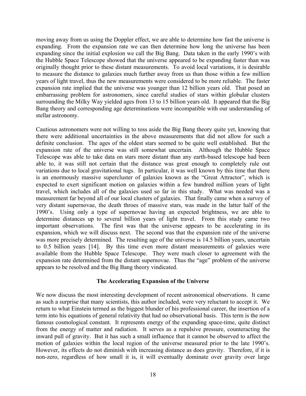moving away from us using the Doppler effect, we are able to determine how fast the universe is expanding. From the expansion rate we can then determine how long the universe has been expanding since the initial explosion we call the Big Bang. Data taken in the early 1990's with the Hubble Space Telescope showed that the universe appeared to be expanding faster than was originally thought prior to these distant measurements. To avoid local variations, it is desirable to measure the distance to galaxies much further away from us than those within a few million years of light travel, thus the new measurements were considered to be more reliable. The faster expansion rate implied that the universe was younger than 12 billion years old. That posed an embarrassing problem for astronomers, since careful studies of stars within globular clusters surrounding the Milky Way yielded ages from 13 to 15 billion years old. It appeared that the Big Bang theory and corresponding age determinations were incompatible with our understanding of stellar astronomy.

Cautious astronomers were not willing to toss aside the Big Bang theory quite yet, knowing that there were additional uncertainties in the above measurements that did not allow for such a definite conclusion. The ages of the oldest stars seemed to be quite well established. But the expansion rate of the universe was still somewhat uncertain. Although the Hubble Space Telescope was able to take data on stars more distant than any earth-based telescope had been able to, it was still not certain that the distance was great enough to completely rule out variations due to local gravitational tugs. In particular, it was well known by this time that there is an enormously massive supercluster of galaxies known as the "Great Attractor", which is expected to exert significant motion on galaxies within a few hundred million years of light travel, which includes all of the galaxies used so far in this study. What was needed was a measurement far beyond all of our local clusters of galaxies. That finally came when a survey of very distant supernovae, the death throes of massive stars, was made in the latter half of the 1990's. Using only a type of supernovae having an expected brightness, we are able to determine distances up to several billion years of light travel. From this study came two important observations. The first was that the universe appears to be accelerating in its expansion, which we will discuss next. The second was that the expansion rate of the universe was more precisely determined. The resulting age of the universe is 14.5 billion years, uncertain to 0.5 billion years [14]. By this time even more distant measurements of galaxies were available from the Hubble Space Telescope. They were much closer to agreement with the expansion rate determined from the distant supernovae. Thus the "age" problem of the universe appears to be resolved and the Big Bang theory vindicated.

#### **The Accelerating Expansion of the Universe**

We now discuss the most interesting development of recent astronomical observations. It came as such a surprise that many scientists, this author included, were very reluctant to accept it. We return to what Einstein termed as the biggest blunder of his professional career, the insertion of a term into his equations of general relativity that had no observational basis. This term is the now famous cosmological constant. It represents energy of the expanding space-time, quite distinct from the energy of matter and radiation. It serves as a repulsive pressure, counteracting the inward pull of gravity. But it has such a small influence that it cannot be observed to affect the motion of galaxies within the local region of the universe measured prior to the late 1990's. However, its effects do not diminish with increasing distance as does gravity. Therefore, if it is non-zero, regardless of how small it is, it will eventually dominate over gravity over large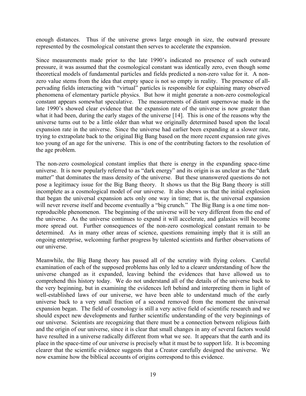enough distances. Thus if the universe grows large enough in size, the outward pressure represented by the cosmological constant then serves to accelerate the expansion.

Since measurements made prior to the late 1990's indicated no presence of such outward pressure, it was assumed that the cosmological constant was identically zero, even though some theoretical models of fundamental particles and fields predicted a non-zero value for it. A nonzero value stems from the idea that empty space is not so empty in reality. The presence of allpervading fields interacting with "virtual" particles is responsible for explaining many observed phenomena of elementary particle physics. But how it might generate a non-zero cosmological constant appears somewhat speculative. The measurements of distant supernovae made in the late 1990's showed clear evidence that the expansion rate of the universe is now greater than what it had been, during the early stages of the universe [14]. This is one of the reasons why the universe turns out to be a little older than what we originally determined based upon the local expansion rate in the universe. Since the universe had earlier been expanding at a slower rate, trying to extrapolate back to the original Big Bang based on the more recent expansion rate gives too young of an age for the universe. This is one of the contributing factors to the resolution of the age problem.

The non-zero cosmological constant implies that there is energy in the expanding space-time universe. It is now popularly referred to as "dark energy" and its origin is as unclear as the "dark matter" that dominates the mass density of the universe. But these unanswered questions do not pose a legitimacy issue for the Big Bang theory. It shows us that the Big Bang theory is still incomplete as a cosmological model of our universe. It also shows us that the initial explosion that began the universal expansion acts only one way in time; that is, the universal expansion will never reverse itself and become eventually a "big crunch." The Big Bang is a one time nonreproducible phenomenon. The beginning of the universe will be very different from the end of the universe. As the universe continues to expand it will accelerate, and galaxies will become more spread out. Further consequences of the non-zero cosmological constant remain to be determined. As in many other areas of science, questions remaining imply that it is still an ongoing enterprise, welcoming further progress by talented scientists and further observations of our universe.

Meanwhile, the Big Bang theory has passed all of the scrutiny with flying colors. Careful examination of each of the supposed problems has only led to a clearer understanding of how the universe changed as it expanded, leaving behind the evidences that have allowed us to comprehend this history today. We do not understand all of the details of the universe back to the very beginning, but in examining the evidences left behind and interpreting them in light of well-established laws of our universe, we have been able to understand much of the early universe back to a very small fraction of a second removed from the moment the universal expansion began. The field of cosmology is still a very active field of scientific research and we should expect new developments and further scientific understanding of the very beginnings of our universe. Scientists are recognizing that there must be a connection between religious faith and the origin of our universe, since it is clear that small changes in any of several factors would have resulted in a universe radically different from what we see. It appears that the earth and its place in the space-time of our universe is precisely what it must be to support life. It is becoming clearer that the scientific evidence suggests that a Creator carefully designed the universe. We now examine how the biblical accounts of origins correspond to this evidence.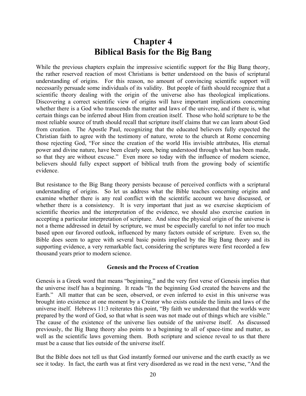### **Chapter 4 Biblical Basis for the Big Bang**

While the previous chapters explain the impressive scientific support for the Big Bang theory, the rather reserved reaction of most Christians is better understood on the basis of scriptural understanding of origins. For this reason, no amount of convincing scientific support will necessarily persuade some individuals of its validity. But people of faith should recognize that a scientific theory dealing with the origin of the universe also has theological implications. Discovering a correct scientific view of origins will have important implications concerning whether there is a God who transcends the matter and laws of the universe, and if there is, what certain things can be inferred about Him from creation itself. Those who hold scripture to be the most reliable source of truth should recall that scripture itself claims that we can learn about God from creation. The Apostle Paul, recognizing that the educated believers fully expected the Christian faith to agree with the testimony of nature, wrote to the church at Rome concerning those rejecting God, "For since the creation of the world His invisible attributes, His eternal power and divine nature, have been clearly seen, being understood through what has been made, so that they are without excuse." Even more so today with the influence of modern science, believers should fully expect support of biblical truth from the growing body of scientific evidence.

But resistance to the Big Bang theory persists because of perceived conflicts with a scriptural understanding of origins. So let us address what the Bible teaches concerning origins and examine whether there is any real conflict with the scientific account we have discussed, or whether there is a consistency. It is very important that just as we exercise skepticism of scientific theories and the interpretation of the evidence, we should also exercise caution in accepting a particular interpretation of scripture. And since the physical origin of the universe is not a theme addressed in detail by scripture, we must be especially careful to not infer too much based upon our favored outlook, influenced by many factors outside of scripture. Even so, the Bible does seem to agree with several basic points implied by the Big Bang theory and its supporting evidence, a very remarkable fact, considering the scriptures were first recorded a few thousand years prior to modern science.

#### **Genesis and the Process of Creation**

Genesis is a Greek word that means "beginning," and the very first verse of Genesis implies that the universe itself has a beginning. It reads "In the beginning God created the heavens and the Earth." All matter that can be seen, observed, or even inferred to exist in this universe was brought into existence at one moment by a Creator who exists outside the limits and laws of the universe itself. Hebrews 11:3 reiterates this point, "By faith we understand that the worlds were prepared by the word of God, so that what is seen was not made out of things which are visible." The cause of the existence of the universe lies outside of the universe itself. As discussed previously, the Big Bang theory also points to a beginning to all of space-time and matter, as well as the scientific laws governing them. Both scripture and science reveal to us that there must be a cause that lies outside of the universe itself.

But the Bible does not tell us that God instantly formed our universe and the earth exactly as we see it today. In fact, the earth was at first very disordered as we read in the next verse, "And the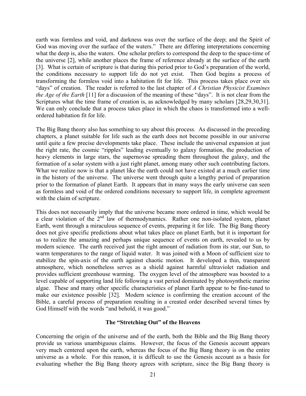earth was formless and void, and darkness was over the surface of the deep; and the Spirit of God was moving over the surface of the waters." There are differing interpretations concerning what the deep is, also the waters. One scholar prefers to correspond the deep to the space-time of the universe [2], while another places the frame of reference already at the surface of the earth [3]. What is certain of scripture is that during this period prior to God's preparation of the world, the conditions necessary to support life do not yet exist. Then God begins a process of transforming the formless void into a habitation fit for life. This process takes place over six "days" of creation. The reader is referred to the last chapter of *A Christian Physicist Examines the Age of the Earth* [11] for a discussion of the meaning of these "days". It is not clear from the Scriptures what the time frame of creation is, as acknowledged by many scholars [28,29,30,31]. We can only conclude that a process takes place in which the chaos is transformed into a wellordered habitation fit for life.

The Big Bang theory also has something to say about this process. As discussed in the preceding chapters, a planet suitable for life such as the earth does not become possible in our universe until quite a few precise developments take place. These include the universal expansion at just the right rate, the cosmic "ripples" leading eventually to galaxy formation, the production of heavy elements in large stars, the supernovae spreading them throughout the galaxy, and the formation of a solar system with a just right planet, among many other such contributing factors. What we realize now is that a planet like the earth could not have existed at a much earlier time in the history of the universe. The universe went through quite a lengthy period of preparation prior to the formation of planet Earth. It appears that in many ways the early universe can seen as formless and void of the ordered conditions necessary to support life, in complete agreement with the claim of scripture.

This does not necessarily imply that the universe became more ordered in time, which would be a clear violation of the  $2<sup>nd</sup>$  law of thermodynamics. Rather one non-isolated system, planet Earth, went through a miraculous sequence of events, preparing it for life. The Big Bang theory does not give specific predictions about what takes place on planet Earth, but it is important for us to realize the amazing and perhaps unique sequence of events on earth, revealed to us by modern science. The earth received just the right amount of radiation from its star, our Sun, to warm temperatures to the range of liquid water. It was joined with a Moon of sufficient size to stabilize the spin-axis of the earth against chaotic motion. It developed a thin, transparent atmosphere, which nonetheless serves as a shield against harmful ultraviolet radiation and provides sufficient greenhouse warming. The oxygen level of the atmosphere was boosted to a level capable of supporting land life following a vast period dominated by photosynthetic marine algae. These and many other specific characteristics of planet Earth appear to be fine-tuned to make our existence possible [32]. Modern science is confirming the creation account of the Bible, a careful process of preparation resulting in a created order described several times by God Himself with the words "and behold, it was good."

#### **The "Stretching Out" of the Heavens**

Concerning the origin of the universe and of the earth, both the Bible and the Big Bang theory provide us various unambiguous claims. However, the focus of the Genesis account appears very much centered upon the earth, whereas the focus of the Big Bang theory is on the entire universe as a whole. For this reason, it is difficult to use the Genesis account as a basis for evaluating whether the Big Bang theory agrees with scripture, since the Big Bang theory is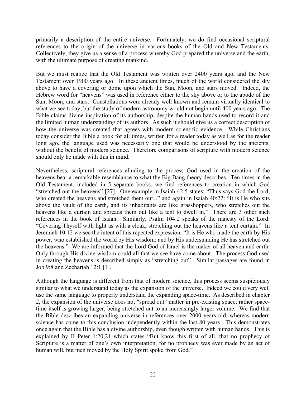primarily a description of the entire universe. Fortunately, we do find occasional scriptural references to the origin of the universe in various books of the Old and New Testaments. Collectively, they give us a sense of a process whereby God prepared the universe and the earth, with the ultimate purpose of creating mankind.

But we must realize that the Old Testament was written over 2400 years ago, and the New Testament over 1900 years ago. In these ancient times, much of the world considered the sky above to have a covering or dome upon which the Sun, Moon, and stars moved. Indeed, the Hebrew word for "heavens" was used in reference either to the sky above or to the abode of the Sun, Moon, and stars. Constellations were already well known and remain virtually identical to what we see today, but the study of modern astronomy would not begin until 400 years ago. The Bible claims divine inspiration of its authorship, despite the human hands used to record it and the limited human understanding of its authors. As such it should give us a correct description of how the universe was created that agrees with modern scientific evidence. While Christians today consider the Bible a book for all times, written for a reader today as well as for the reader long ago, the language used was necessarily one that would be understood by the ancients, without the benefit of modern science. Therefore comparisons of scripture with modern science should only be made with this in mind.

Nevertheless, scriptural references alluding to the process God used in the creation of the heavens bear a remarkable resemblance to what the Big Bang theory describes. Ten times in the Old Testament, included in 5 separate books, we find references to creation in which God "stretched out the heavens" [27]. One example in Isaiah 42:5 states: "Thus says God the Lord, who created the heavens and stretched them out..." and again in Isaiah 40:22: "It is He who sits above the vault of the earth, and its inhabitants are like grasshoppers, who stretches out the heavens like a curtain and spreads them out like a tent to dwell in." There are 3 other such references in the book of Isaiah. Similarly, Psalm 104:2 speaks of the majesty of the Lord: "Covering Thyself with light as with a cloak, stretching out the heavens like a tent curtain." In Jeremiah 10:12 we see the intent of this repeated expression: "It is He who made the earth by His power, who established the world by His wisdom; and by His understanding He has stretched out the heavens." We are informed that the Lord God of Israel is the maker of all heaven and earth. Only through His divine wisdom could all that we see have come about. The process God used in creating the heavens is described simply as "stretching out". Similar passages are found in Job 9:8 and Zechariah 12:1 [1].

Although the language is different from that of modern science, this process seems suspiciously similar to what we understand today as the expansion of the universe. Indeed we could very well use the same language to properly understand the expanding space-time. As described in chapter 2, the expansion of the universe does not "spread out" matter in pre-existing space; rather spacetime itself is growing larger, being stretched out to an increasingly larger volume. We find that the Bible describes an expanding universe in references over 2000 years old, whereas modern science has come to this conclusion independently within the last 80 years. This demonstrates once again that the Bible has a divine authorship, even though written with human hands. This is explained by II Peter 1:20,21 which states "But know this first of all, that no prophecy of Scripture is a matter of one's own interpretation, for no prophecy was ever made by an act of human will, but men moved by the Holy Spirit spoke from God."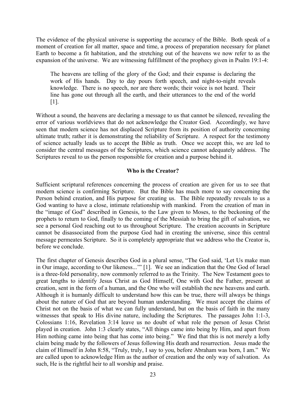The evidence of the physical universe is supporting the accuracy of the Bible. Both speak of a moment of creation for all matter, space and time, a process of preparation necessary for planet Earth to become a fit habitation, and the stretching out of the heavens we now refer to as the expansion of the universe. We are witnessing fulfillment of the prophecy given in Psalm 19:1-4:

The heavens are telling of the glory of the God; and their expanse is declaring the work of His hands. Day to day pours forth speech, and night-to-night reveals knowledge. There is no speech, nor are there words; their voice is not heard. Their line has gone out through all the earth, and their utterances to the end of the world [1].

Without a sound, the heavens are declaring a message to us that cannot be silenced, revealing the error of various worldviews that do not acknowledge the Creator God. Accordingly, we have seen that modern science has not displaced Scripture from its position of authority concerning ultimate truth; rather it is demonstrating the reliability of Scripture. A respect for the testimony of science actually leads us to accept the Bible as truth. Once we accept this, we are led to consider the central messages of the Scriptures, which science cannot adequately address. The Scriptures reveal to us the person responsible for creation and a purpose behind it.

#### **Who is the Creator?**

Sufficient scriptural references concerning the process of creation are given for us to see that modern science is confirming Scripture. But the Bible has much more to say concerning the Person behind creation, and His purpose for creating us. The Bible repeatedly reveals to us a God wanting to have a close, intimate relationship with mankind. From the creation of man in the "image of God" described in Genesis, to the Law given to Moses, to the beckoning of the prophets to return to God, finally to the coming of the Messiah to bring the gift of salvation, we see a personal God reaching out to us throughout Scripture. The creation accounts in Scripture cannot be disassociated from the purpose God had in creating the universe, since this central message permeates Scripture. So it is completely appropriate that we address who the Creator is, before we conclude.

The first chapter of Genesis describes God in a plural sense, "The God said, 'Let Us make man in Our image, according to Our likeness...'" [1]. We see an indication that the One God of Israel is a three-fold personality, now commonly referred to as the Trinity. The New Testament goes to great lengths to identify Jesus Christ as God Himself, One with God the Father, present at creation, sent in the form of a human, and the One who will establish the new heavens and earth. Although it is humanly difficult to understand how this can be true, there will always be things about the nature of God that are beyond human understanding. We must accept the claims of Christ not on the basis of what we can fully understand, but on the basis of faith in the many witnesses that speak to His divine nature, including the Scriptures. The passages John 1:1-3, Colossians 1:16, Revelation 3:14 leave us no doubt of what role the person of Jesus Christ played in creation. John 1:3 clearly states, "All things came into being by Him, and apart from Him nothing came into being that has come into being." We find that this is not merely a lofty claim being made by the followers of Jesus following His death and resurrection. Jesus made the claim of Himself in John 8:58, "Truly, truly, I say to you, before Abraham was born, I am." We are called upon to acknowledge Him as the author of creation and the only way of salvation. As such, He is the rightful heir to all worship and praise.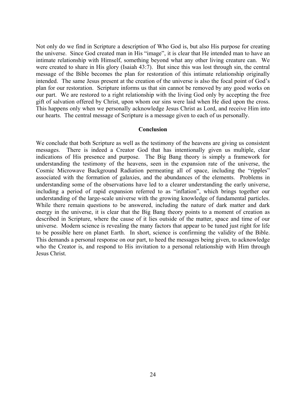Not only do we find in Scripture a description of Who God is, but also His purpose for creating the universe. Since God created man in His "image", it is clear that He intended man to have an intimate relationship with Himself, something beyond what any other living creature can. We were created to share in His glory (Isaiah 43:7). But since this was lost through sin, the central message of the Bible becomes the plan for restoration of this intimate relationship originally intended. The same Jesus present at the creation of the universe is also the focal point of God's plan for our restoration. Scripture informs us that sin cannot be removed by any good works on our part. We are restored to a right relationship with the living God only by accepting the free gift of salvation offered by Christ, upon whom our sins were laid when He died upon the cross. This happens only when we personally acknowledge Jesus Christ as Lord, and receive Him into our hearts. The central message of Scripture is a message given to each of us personally.

#### **Conclusion**

We conclude that both Scripture as well as the testimony of the heavens are giving us consistent messages. There is indeed a Creator God that has intentionally given us multiple, clear indications of His presence and purpose. The Big Bang theory is simply a framework for understanding the testimony of the heavens, seen in the expansion rate of the universe, the Cosmic Microwave Background Radiation permeating all of space, including the "ripples" associated with the formation of galaxies, and the abundances of the elements. Problems in understanding some of the observations have led to a clearer understanding the early universe, including a period of rapid expansion referred to as "inflation", which brings together our understanding of the large-scale universe with the growing knowledge of fundamental particles. While there remain questions to be answered, including the nature of dark matter and dark energy in the universe, it is clear that the Big Bang theory points to a moment of creation as described in Scripture, where the cause of it lies outside of the matter, space and time of our universe. Modern science is revealing the many factors that appear to be tuned just right for life to be possible here on planet Earth. In short, science is confirming the validity of the Bible. This demands a personal response on our part, to heed the messages being given, to acknowledge who the Creator is, and respond to His invitation to a personal relationship with Him through Jesus Christ.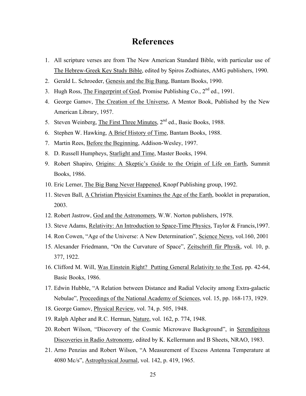### **References**

- 1. All scripture verses are from The New American Standard Bible, with particular use of The Hebrew-Greek Key Study Bible, edited by Spiros Zodhiates, AMG publishers, 1990.
- 2. Gerald L. Schroeder, Genesis and the Big Bang, Bantam Books, 1990.
- 3. Hugh Ross, The Fingerprint of God, Promise Publishing Co., 2<sup>nd</sup> ed., 1991.
- 4. George Gamov, The Creation of the Universe, A Mentor Book, Published by the New American Library, 1957.
- 5. Steven Weinberg, The First Three Minutes,  $2<sup>nd</sup>$  ed., Basic Books, 1988.
- 6. Stephen W. Hawking, A Brief History of Time, Bantam Books, 1988.
- 7. Martin Rees, Before the Beginning, Addison-Wesley, 1997.
- 8. D. Russell Humpheys, Starlight and Time, Master Books, 1994.
- 9. Robert Shapiro, Origins: A Skeptic's Guide to the Origin of Life on Earth, Summit Books, 1986.
- 10. Eric Lerner, The Big Bang Never Happened, Knopf Publishing group, 1992.
- 11. Steven Ball, A Christian Physicist Examines the Age of the Earth, booklet in preparation, 2003.
- 12. Robert Jastrow, God and the Astronomers, W.W. Norton publishers, 1978.
- 13. Steve Adams, Relativity: An Introduction to Space-Time Physics, Taylor & Francis,1997.
- 14. Ron Cowen, "Age of the Universe: A New Determination", Science News, vol.160, 2001
- 15. Alexander Friedmann, "On the Curvature of Space", Zeitschrift für Physik, vol. 10, p. 377, 1922.
- 16. Clifford M. Will, Was Einstein Right? Putting General Relativity to the Test, pp. 42-64, Basic Books, 1986.
- 17. Edwin Hubble, "A Relation between Distance and Radial Velocity among Extra-galactic Nebulae", Proceedings of the National Academy of Sciences, vol. 15, pp. 168-173, 1929.
- 18. George Gamov, Physical Review, vol. 74, p. 505, 1948.
- 19. Ralph Alpher and R.C. Herman, Nature, vol. 162, p. 774, 1948.
- 20. Robert Wilson, "Discovery of the Cosmic Microwave Background", in Serendipitous Discoveries in Radio Astronomy, edited by K. Kellermann and B Sheets, NRAO, 1983.
- 21. Arno Penzias and Robert Wilson, "A Measurement of Excess Antenna Temperature at 4080 Mc/s", Astrophysical Journal, vol. 142, p. 419, 1965.